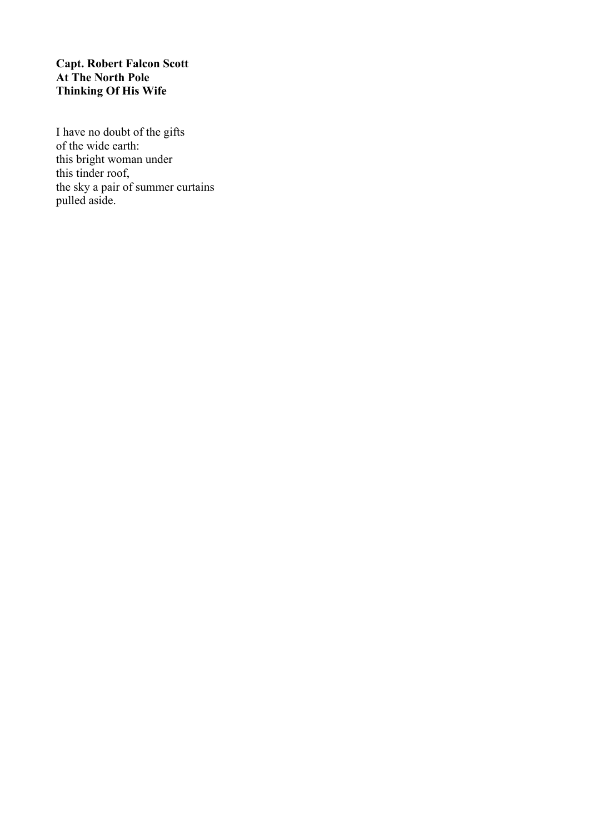# **Capt. Robert Falcon Scott At The North Pole Thinking Of His Wife**

I have no doubt of the gifts of the wide earth: this bright woman under this tinder roof, the sky a pair of summer curtains pulled aside.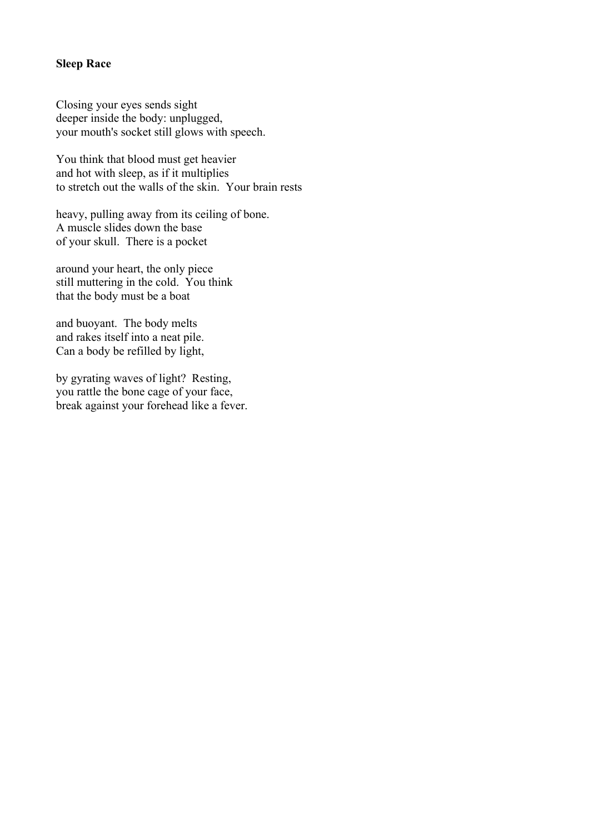## **Sleep Race**

Closing your eyes sends sight deeper inside the body: unplugged, your mouth's socket still glows with speech.

You think that blood must get heavier and hot with sleep, as if it multiplies to stretch out the walls of the skin. Your brain rests

heavy, pulling away from its ceiling of bone. A muscle slides down the base of your skull. There is a pocket

around your heart, the only piece still muttering in the cold. You think that the body must be a boat

and buoyant. The body melts and rakes itself into a neat pile. Can a body be refilled by light,

by gyrating waves of light? Resting, you rattle the bone cage of your face, break against your forehead like a fever.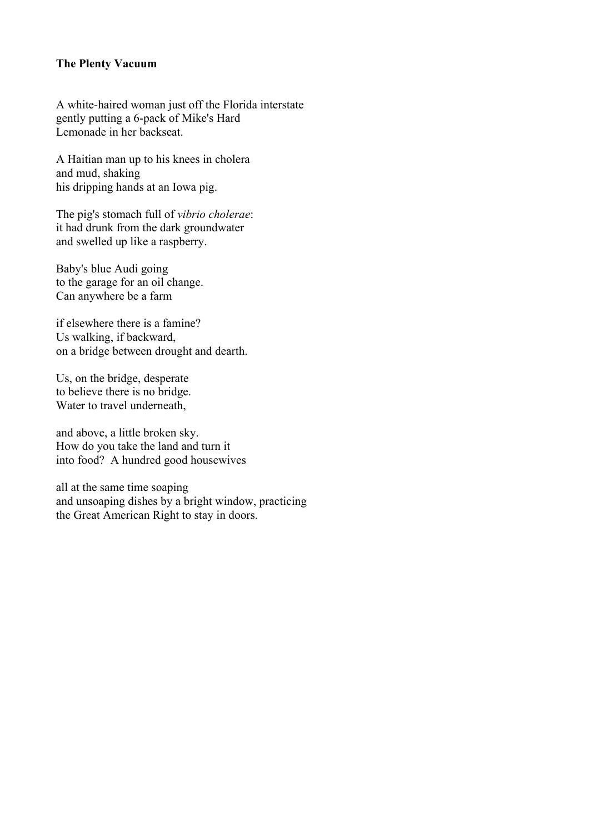## **The Plenty Vacuum**

A white-haired woman just off the Florida interstate gently putting a 6-pack of Mike's Hard Lemonade in her backseat.

A Haitian man up to his knees in cholera and mud, shaking his dripping hands at an Iowa pig.

The pig's stomach full of *vibrio cholerae*: it had drunk from the dark groundwater and swelled up like a raspberry.

Baby's blue Audi going to the garage for an oil change. Can anywhere be a farm

if elsewhere there is a famine? Us walking, if backward, on a bridge between drought and dearth.

Us, on the bridge, desperate to believe there is no bridge. Water to travel underneath,

and above, a little broken sky. How do you take the land and turn it into food? A hundred good housewives

all at the same time soaping and unsoaping dishes by a bright window, practicing the Great American Right to stay in doors.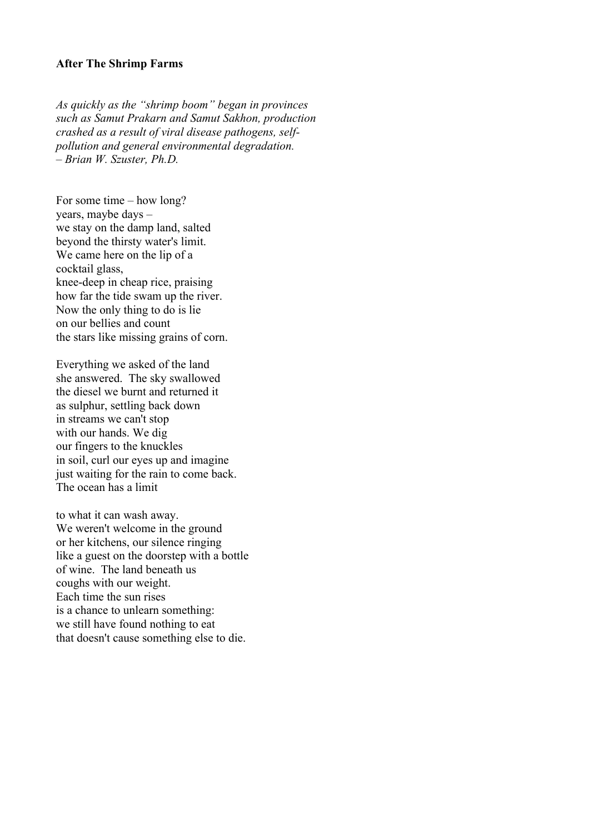#### **After The Shrimp Farms**

*As quickly as the "shrimp boom" began in provinces such as Samut Prakarn and Samut Sakhon, production crashed as a result of viral disease pathogens, selfpollution and general environmental degradation. – Brian W. Szuster, Ph.D.*

For some time – how long? years, maybe days – we stay on the damp land, salted beyond the thirsty water's limit. We came here on the lip of a cocktail glass, knee-deep in cheap rice, praising how far the tide swam up the river. Now the only thing to do is lie on our bellies and count the stars like missing grains of corn.

Everything we asked of the land she answered. The sky swallowed the diesel we burnt and returned it as sulphur, settling back down in streams we can't stop with our hands. We dig our fingers to the knuckles in soil, curl our eyes up and imagine just waiting for the rain to come back. The ocean has a limit

to what it can wash away. We weren't welcome in the ground or her kitchens, our silence ringing like a guest on the doorstep with a bottle of wine. The land beneath us coughs with our weight. Each time the sun rises is a chance to unlearn something: we still have found nothing to eat that doesn't cause something else to die.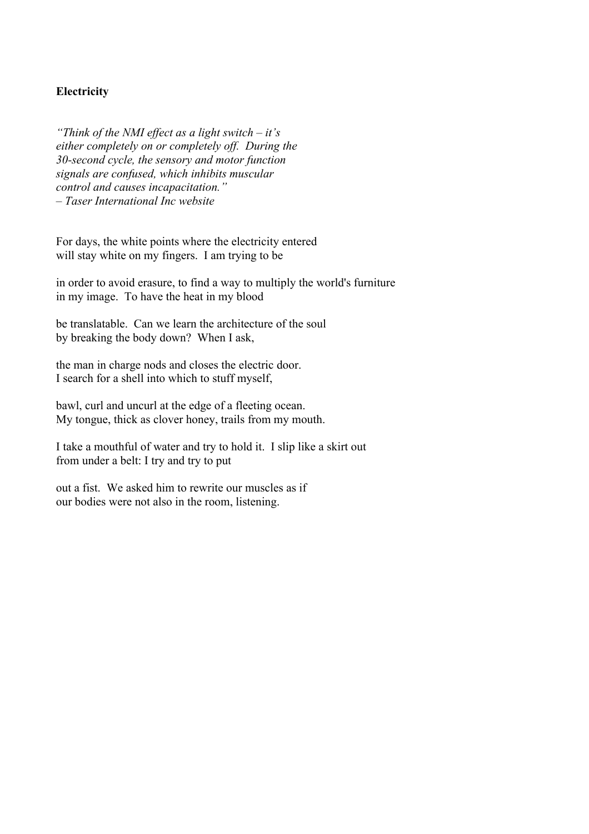## **Electricity**

*"Think of the NMI effect as a light switch – it's either completely on or completely off. During the 30-second cycle, the sensory and motor function signals are confused, which inhibits muscular control and causes incapacitation." – Taser International Inc website*

For days, the white points where the electricity entered will stay white on my fingers. I am trying to be

in order to avoid erasure, to find a way to multiply the world's furniture in my image. To have the heat in my blood

be translatable. Can we learn the architecture of the soul by breaking the body down? When I ask,

the man in charge nods and closes the electric door. I search for a shell into which to stuff myself,

bawl, curl and uncurl at the edge of a fleeting ocean. My tongue, thick as clover honey, trails from my mouth.

I take a mouthful of water and try to hold it. I slip like a skirt out from under a belt: I try and try to put

out a fist. We asked him to rewrite our muscles as if our bodies were not also in the room, listening.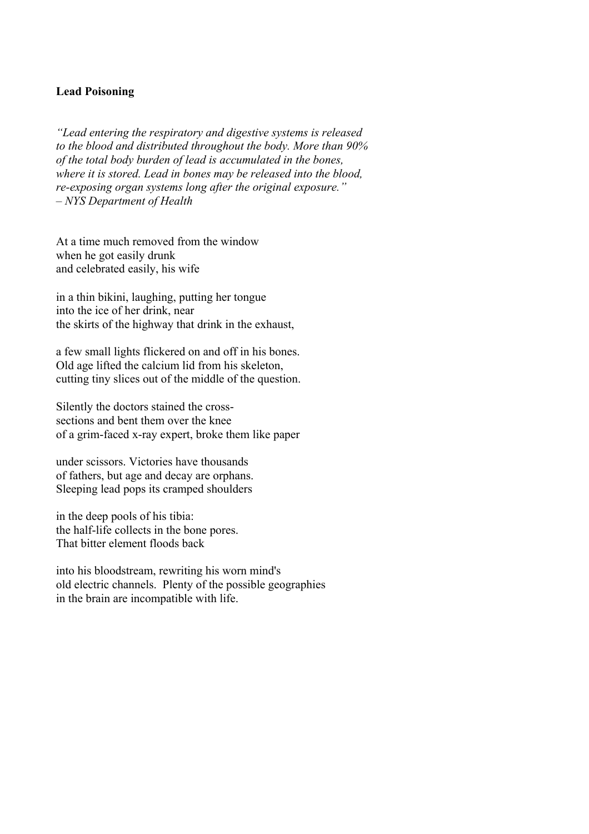### **Lead Poisoning**

*"Lead entering the respiratory and digestive systems is released to the blood and distributed throughout the body. More than 90% of the total body burden of lead is accumulated in the bones, where it is stored. Lead in bones may be released into the blood, re-exposing organ systems long after the original exposure." – NYS Department of Health*

At a time much removed from the window when he got easily drunk and celebrated easily, his wife

in a thin bikini, laughing, putting her tongue into the ice of her drink, near the skirts of the highway that drink in the exhaust,

a few small lights flickered on and off in his bones. Old age lifted the calcium lid from his skeleton, cutting tiny slices out of the middle of the question.

Silently the doctors stained the crosssections and bent them over the knee of a grim-faced x-ray expert, broke them like paper

under scissors. Victories have thousands of fathers, but age and decay are orphans. Sleeping lead pops its cramped shoulders

in the deep pools of his tibia: the half-life collects in the bone pores. That bitter element floods back

into his bloodstream, rewriting his worn mind's old electric channels. Plenty of the possible geographies in the brain are incompatible with life.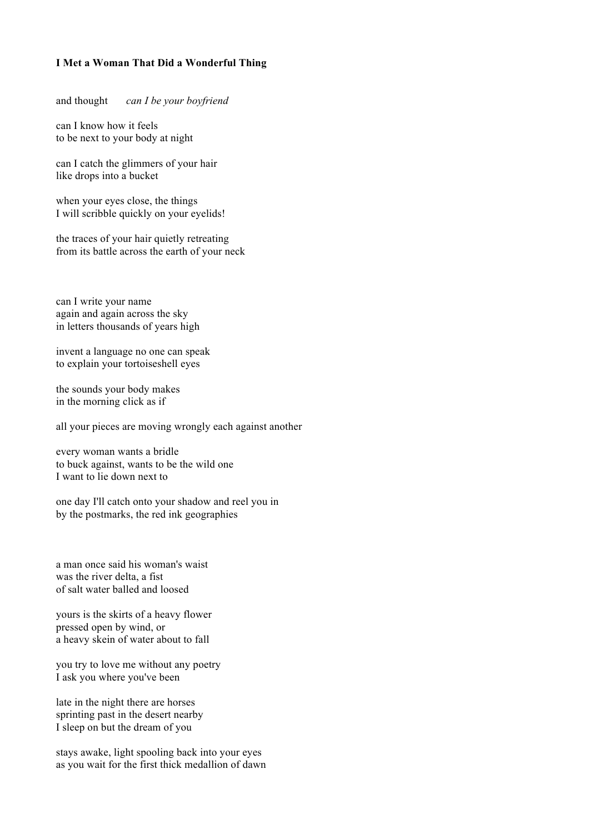#### **I Met a Woman That Did a Wonderful Thing**

and thought *can I be your boyfriend*

can I know how it feels to be next to your body at night

can I catch the glimmers of your hair like drops into a bucket

when your eyes close, the things I will scribble quickly on your eyelids!

the traces of your hair quietly retreating from its battle across the earth of your neck

can I write your name again and again across the sky in letters thousands of years high

invent a language no one can speak to explain your tortoiseshell eyes

the sounds your body makes in the morning click as if

all your pieces are moving wrongly each against another

every woman wants a bridle to buck against, wants to be the wild one I want to lie down next to

one day I'll catch onto your shadow and reel you in by the postmarks, the red ink geographies

a man once said his woman's waist was the river delta, a fist of salt water balled and loosed

yours is the skirts of a heavy flower pressed open by wind, or a heavy skein of water about to fall

you try to love me without any poetry I ask you where you've been

late in the night there are horses sprinting past in the desert nearby I sleep on but the dream of you

stays awake, light spooling back into your eyes as you wait for the first thick medallion of dawn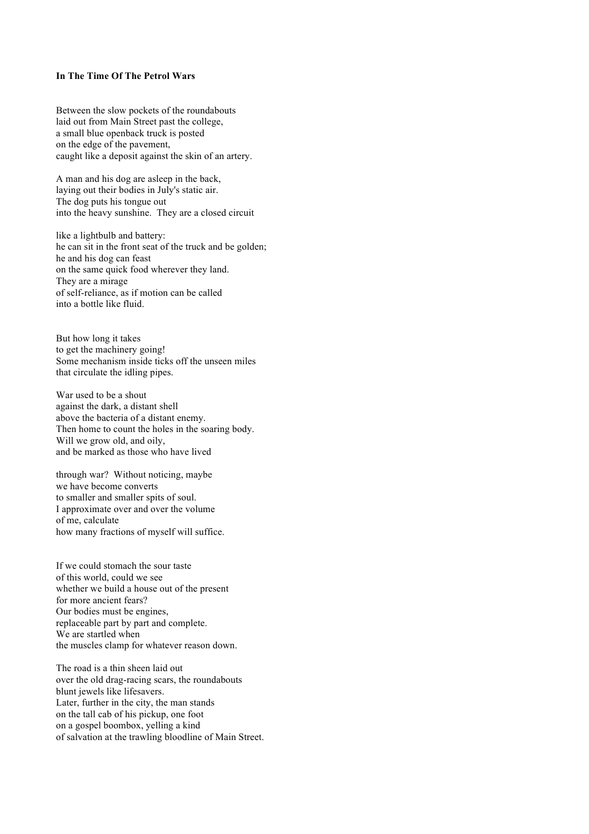#### **In The Time Of The Petrol Wars**

Between the slow pockets of the roundabouts laid out from Main Street past the college, a small blue openback truck is posted on the edge of the pavement, caught like a deposit against the skin of an artery.

A man and his dog are asleep in the back, laying out their bodies in July's static air. The dog puts his tongue out into the heavy sunshine. They are a closed circuit

like a lightbulb and battery: he can sit in the front seat of the truck and be golden; he and his dog can feast on the same quick food wherever they land. They are a mirage of self-reliance, as if motion can be called into a bottle like fluid.

But how long it takes to get the machinery going! Some mechanism inside ticks off the unseen miles that circulate the idling pipes.

War used to be a shout against the dark, a distant shell above the bacteria of a distant enemy. Then home to count the holes in the soaring body. Will we grow old, and oily, and be marked as those who have lived

through war? Without noticing, maybe we have become converts to smaller and smaller spits of soul. I approximate over and over the volume of me, calculate how many fractions of myself will suffice.

If we could stomach the sour taste of this world, could we see whether we build a house out of the present for more ancient fears? Our bodies must be engines, replaceable part by part and complete. We are startled when the muscles clamp for whatever reason down.

The road is a thin sheen laid out over the old drag-racing scars, the roundabouts blunt jewels like lifesavers. Later, further in the city, the man stands on the tall cab of his pickup, one foot on a gospel boombox, yelling a kind of salvation at the trawling bloodline of Main Street.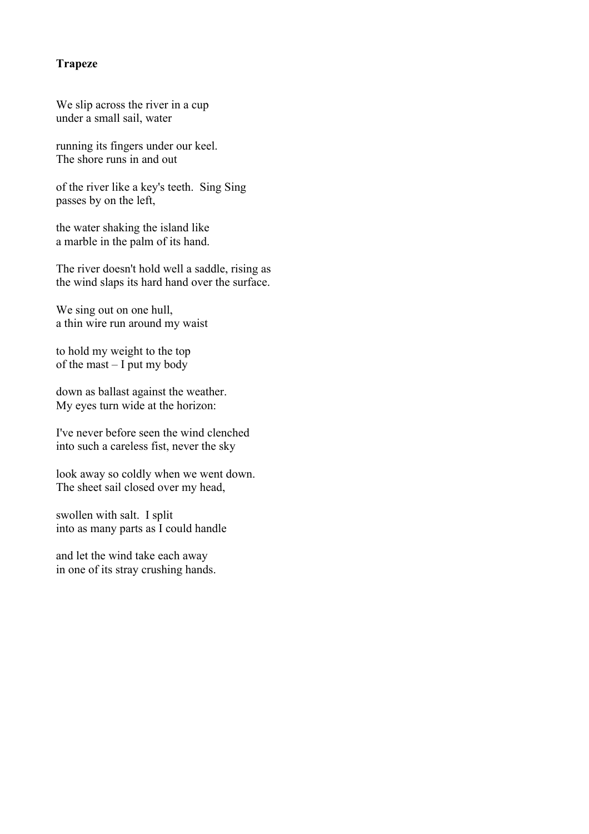## **Trapeze**

We slip across the river in a cup under a small sail, water

running its fingers under our keel. The shore runs in and out

of the river like a key's teeth. Sing Sing passes by on the left,

the water shaking the island like a marble in the palm of its hand.

The river doesn't hold well a saddle, rising as the wind slaps its hard hand over the surface.

We sing out on one hull, a thin wire run around my waist

to hold my weight to the top of the mast – I put my body

down as ballast against the weather. My eyes turn wide at the horizon:

I've never before seen the wind clenched into such a careless fist, never the sky

look away so coldly when we went down. The sheet sail closed over my head,

swollen with salt. I split into as many parts as I could handle

and let the wind take each away in one of its stray crushing hands.